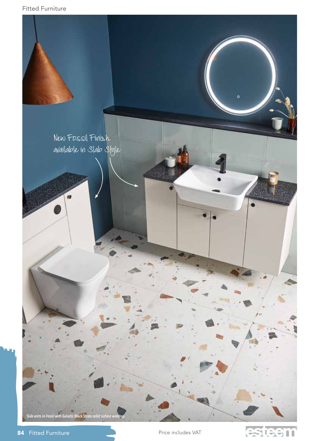```
Fitted Furniture
```


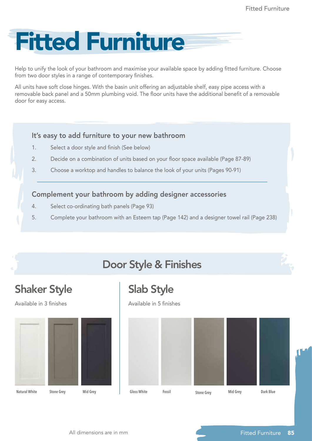

Help to unify the look of your bathroom and maximise your available space by adding fitted furniture. Choose from two door styles in a range of contemporary finishes.

All units have soft close hinges. With the basin unit offering an adjustable shelf, easy pipe access with a removable back panel and a 50mm plumbing void. The floor units have the additional benefit of a removable door for easy access.

### It's easy to add furniture to your new bathroom

- 1. Select a door style and finish (See below)
- 2. Decide on a combination of units based on your floor space available (Page 87-89)
- 3. Choose a worktop and handles to balance the look of your units (Pages 90-91)

### Complement your bathroom by adding designer accessories

- 4. Select co-ordinating bath panels (Page 93)
- 5. Complete your bathroom with an Esteem tap (Page 142) and a designer towel rail (Page 238)

## Door Style & Finishes

### Shaker Style

Available in 3 finishes



Slab Style

Available in 5 finishes

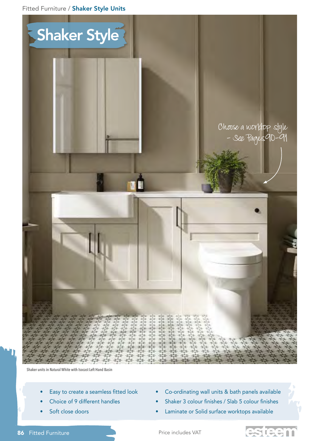Fitted Furniture / Shaker Style Units



**Shaker units in Natural White with Isocast Left Hand Basin** 

- Easy to create a seamless fitted look
- Choice of 9 different handles
- Soft close doors
- Co-ordinating wall units & bath panels available
- Shaker 3 colour finishes / Slab 5 colour finishes
- Laminate or Solid surface worktops available
- 86 Fitted Furniture Price includes VAT



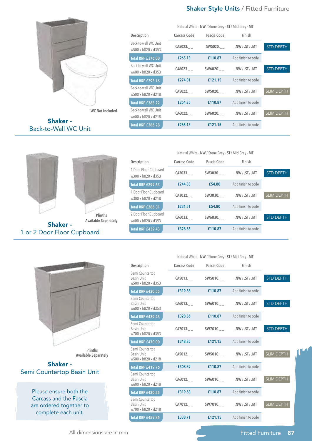#### Shaker Style Units / Fitted Furniture



**WC Not Included**

Shaker - Back-to-Wall WC Unit

1 or 2 Door Floor Cupboard

|                                            |              | Natural White - NW / Stone Grey - ST / Mid Grey - MT |                    |                   |
|--------------------------------------------|--------------|------------------------------------------------------|--------------------|-------------------|
| Description                                | Carcass Code | <b>Fascia Code</b>                                   | Finish             |                   |
| Back-to-wall WC Unit<br>w500 x h820 x d353 | CA5023.      | SW5020.                                              | .NW / .ST / .MT    | <b>STD DEPTH</b>  |
| Total RRP £376.00                          | £265.13      | £110.87                                              | Add finish to code |                   |
| Back-to-wall WC Unit<br>w600 x h820 x d353 | CA6023.      | SW6020.                                              | NW / ST / MT       | <b>STD DEPTH</b>  |
| <b>Total RRP £395.16</b>                   | £274.01      | £121.15                                              | Add finish to code |                   |
| Back-to-wall WC Unit<br>w500 x h820 x d218 | CA5022.      | SW5020.                                              | NW / ST / MT       | <b>SLIM DEPTH</b> |
| <b>Total RRP £365.22</b>                   | £254.35      | £110.87                                              | Add finish to code |                   |
| Back-to-wall WC Unit<br>w600 x h820 x d218 | CA6022.      | SW6020.                                              | NW / ST / MT       | <b>SLIM DEPTH</b> |
| <b>Total RRP £386.28</b>                   | £265.13      | £121.15                                              | Add finish to code |                   |

#### Natural White - **NW** / Stone Grey - **ST** / Mid Grey **- MT**



|                                             |              | $\frac{1}{2}$      |                    |                   |
|---------------------------------------------|--------------|--------------------|--------------------|-------------------|
| Description                                 | Carcass Code | <b>Fascia Code</b> | Finish             |                   |
| 1 Door Floor Cupboard<br>w300 x h820 x d353 | CA3033.      | SW3030.            | NW / ST / MT       | <b>STD DEPTH</b>  |
| <b>Total RRP £299.63</b>                    | £244.83      | £54.80             | Add finish to code |                   |
| 1 Door Floor Cupboard<br>w300 x h820 x d218 | CA3032.      | SW3030.            | NW / ST / MT       | <b>SLIM DEPTH</b> |
| <b>Total RRP £286.31</b>                    | £231.51      | £54.80             | Add finish to code |                   |
| 2 Door Floor Cupboard<br>w600 x h820 x d353 | CA6033.      | SW6030.            | .NW / .ST / .MT    | <b>STD DEPTH</b>  |
| <b>Total RRP £439.43</b>                    | £328.56      | £110.87            | Add finish to code |                   |

Natural White - **NW** / Stone Grey - **ST** / Mid Grey **- MT**



**Plinths Available Separately**

#### Shaker - Semi Countertop Basin Unit

Please ensure both the Carcass and the Fascia are ordered together to complete each unit.

| Description                                                | <b>Carcass Code</b> | <b>Fascia Code</b> | Finish                   |                   |
|------------------------------------------------------------|---------------------|--------------------|--------------------------|-------------------|
| Semi Countertop<br><b>Basin Unit</b><br>w500 x h820 x d353 | CA5013.             |                    | SW5010. NW / . ST / . MT | <b>STD DEPTH</b>  |
| <b>Total RRP £430.55</b>                                   | £319.68             | £110.87            | Add finish to code       |                   |
| Semi Countertop<br><b>Basin Unit</b><br>w600 x h820 x d353 |                     |                    |                          | <b>STD DEPTH</b>  |
| Total RRP £439.43                                          | £328.56             | £110.87            | Add finish to code       |                   |
| Semi Countertop<br><b>Basin Unit</b><br>w700 x h820 x d353 |                     |                    |                          | <b>STD DEPTH</b>  |
| <b>Total RRP £470.00</b>                                   | £348.85             | £121.15            | Add finish to code       |                   |
| Semi Countertop<br><b>Basin Unit</b><br>w500 x h820 x d218 | CA5012.             |                    |                          | <b>SLIM DEPTH</b> |
| Total RRP £419.76                                          | £308.89             | £110.87            | Add finish to code       |                   |
| Semi Countertop<br><b>Basin Unit</b><br>w600 x h820 x d218 | CA6012.             |                    | SW6010. NW / .ST / .MT   | SLIM DEPTH        |
| <b>Total RRP £430.55</b>                                   | £319.68             | £110.87            | Add finish to code       |                   |
| Semi Countertop<br><b>Basin Unit</b><br>w700 x h820 x d218 | CA7012.             |                    |                          | <b>SLIM DEPTH</b> |
| <b>Total RRP £459.86</b>                                   | £338.71             | £121.15            | Add finish to code       |                   |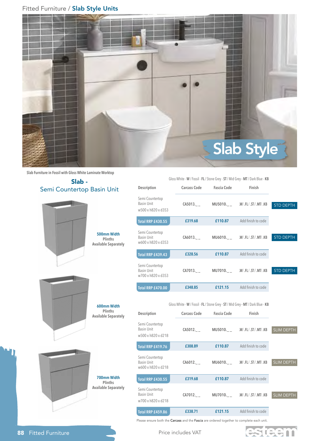#### Fitted Furniture / Slab Style Units



**Slab Furniture in Fossil with Gloss White Laminate Worktop**

#### Slab - Semi Countertop Basin Unit





**600mm Width Plinths** 



**Description Carcass Code Fascia Code Finish** Semi Countertop Basin Unit w500 x h820 x d353 **CA5013.\_ \_ MU5010.\_ \_ .W**/ **.FL** / **.ST / .MT**/ **.KB Total RRP TBC £319.68 £110.87** Add finish to code **Total RRP £430.55** Semi Countertop Basin Unit w600 x h820 x d353 **CA6013.\_ \_ MU6010.\_ \_ .W**/ **.FL** / **.ST / .MT**/ **.KB Total RRP £439.43 £328.56 £110.87** Add finish to code Semi Countertop Basin Unit w700 x h820 x d353 **CA7013.\_ \_ MU7010.\_ \_ .W**/ **.FL** / **.ST / .MT**/ **.KB Facebook £348.85 £121.15** Add finish to code Gloss White - **W** / Fossil - **FL** / Stone Grey - **ST** / Mid Grey **- MT** / Dark Blue - **KB Description Carcass Code Fascia Code Finish** Semi Countertop Basin Unit w500 x h820 x d218 **CA5012.\_ \_ MU5010.\_ \_ .W**/ **.FL** / **.ST / .MT**/ **.KB** STD DEPTH STD DEPTH STD DEPTH SLIM DEPTH

Gloss White - **W** / Fossil - **FL** / Stone Grey - **ST** / Mid Grey **- MT** / Dark Blue - **KB**

| Total RRP £419.76                                   | £308.89 | £110.87 | Add finish to code        |                   |
|-----------------------------------------------------|---------|---------|---------------------------|-------------------|
| Semi Countertop<br>Basin Unit<br>w600 x h820 x d218 | CA6012. |         | MU6010. W/.FL/.ST/.MT/.KB | <b>SLIM DEPTH</b> |
| <b>Total RRP £430.55</b>                            | £319.68 | £110.87 | Add finish to code        |                   |
| Semi Countertop<br>Basin Unit<br>w700 x h820 x d218 | CA7012. |         | MU7010. W/.FL/.ST/.MT/.KB | <b>SLIM DEPTH</b> |
| Total RRP £459.86                                   | £338.71 | £121.15 | Add finish to code        |                   |

Please ensure both the Carcass and the Fascia are ordered together to complete each unit.

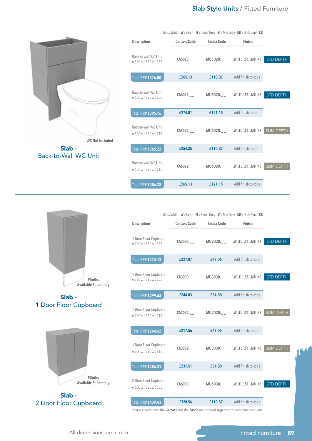#### Slab Style Units / Fitted Furniture



| Description                                | Carcass Code | <b>Fascia Code</b> | Finish                                  |                   |
|--------------------------------------------|--------------|--------------------|-----------------------------------------|-------------------|
| Back-to-wall WC Unit<br>w500 x h820 x d353 |              |                    | CA5023.___ MU5020.__ .W/.FL/.ST/.MT/.KB | <b>STD DEPTH</b>  |
| <b>Total RRP £376.00</b>                   | £265.13      | £110.87            | Add finish to code                      |                   |
| Back-to-wall WC Unit<br>w600 x h820 x d353 |              |                    | CA6023.___ MU6020.__ .W/.FL/.ST/.MT/.KB | <b>STD DEPTH</b>  |
| <b>Total RRP £395.16</b>                   | £274.01      |                    | <b>£121.15</b> Add finish to code       |                   |
| Back-to-wall WC Unit<br>w500 x h820 x d218 |              |                    |                                         | <b>SLIM DEPTH</b> |
| <b>Total RRP £365.22</b>                   | £254.35      | £110.87            | Add finish to code                      |                   |
| Back-to-wall WC Unit<br>w600 x h820 x d218 | CA6022.      |                    | MU6020. W/.FL/.ST/.MT/.KB               | <b>SLIM DEPTH</b> |
| <b>Total RRP £386.28</b>                   | £265.13      | £121.15            | Add finish to code                      |                   |

Gloss White - **W** / Fossil - **FL** / Stone Grey - **ST** / Mid Grey **- MT** / Dark Blue - **KB**

**Plinths Available Separately**

Slab - 1 Door Floor Cupboard



Slab - 2 Door Floor Cupboard

| Gloss White - W / Fossil - FL / Stone Grey - ST / Mid Grey - MT / Dark Blue - KB |                     |                    |                                         |                   |  |
|----------------------------------------------------------------------------------|---------------------|--------------------|-----------------------------------------|-------------------|--|
| Description                                                                      | <b>Carcass Code</b> | <b>Fascia Code</b> | Finish                                  |                   |  |
| 1 Door Floor Cupboard<br>w200 x h820 x d353                                      | CA2033              |                    | MU2030. W/.FL/.ST/.MT/.KB               | STD DEPTH         |  |
| <b>Total RRP £274.13</b>                                                         | £227.07             | £47.06             | Add finish to code                      |                   |  |
| 1 Door Floor Cupboard<br>w300 x h820 x d353                                      |                     |                    | CA3033.___ MU3030.__ .W/.FL/.ST/.MT/.KB | <b>STD DEPTH</b>  |  |
| Total RRP £299.63                                                                | £244.83             | £54.80             | Add finish to code                      |                   |  |
| 1 Door Floor Cupboard<br>w200 x h820 x d218                                      |                     |                    | CA2032.___ MU2030.__ .W/.FL/.ST/.MT/.KB | <b>SLIM DEPTH</b> |  |
| <b>Total RRP £264.62</b>                                                         | £217.56             | £47.06             | Add finish to code                      |                   |  |
| 1 Door Floor Cupboard<br>w300 x h820 x d218                                      |                     |                    | CA3032.___ MU3030.__ .W/.FL/.ST/.MT/.KB | <b>SLIM DEPTH</b> |  |
| <b>Total RRP £286.31</b>                                                         | £231.51             | £54.80             | Add finish to code                      |                   |  |
| 2 Door Floor Cupboard<br>w600 x h820 x d353                                      | CA6033.             |                    | MU6030.________.W/.FL/.ST/.MT/.KB       | STD DEPTH         |  |
| <b>Total RRP £439.43</b>                                                         | £328.56             | £110.87            | Add finish to code                      |                   |  |
|                                                                                  |                     |                    |                                         |                   |  |

Please ensure both the Carcass and the Fascia are ordered together to complete each unit.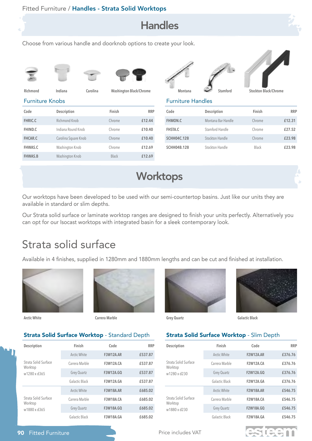



Choose from various handle and doorknob options to create your look.







|   | ٠   | ÷.<br>-<br>×<br>v    | ł |
|---|-----|----------------------|---|
| ٠ | - - | $\sim$ $\sim$ $\sim$ |   |

| Richmond               | Indiana | Carolina |
|------------------------|---------|----------|
| <b>Furniture Knobs</b> |         |          |

**Code Description Finish RRP FHRIC.C** Richmond Knob Chrome **£12.44 FHIND.C** Indiana Round Knob Chrome **£10.40 FHCAR.C** Carolina Square Knob Chrome **£10.40 FHWAS.C** Washington Knob Chrome **£12.69** FHWAS.B Washington Knob Black **£12.69** 

|        |        | ı |  |
|--------|--------|---|--|
| ۱<br>٠ | ٠<br>v |   |  |



**Richmond Indiana Carolina Washington Black/Chrome Montana Stamford Stockton Black/Chrome**



Furniture Handles

| Code               | Description        | Finish | <b>RRP</b> |
|--------------------|--------------------|--------|------------|
| <b>FHMON.C</b>     | Montana Bar Handle | Chrome | £12.31     |
| <b>FHSTA.C</b>     | Stamford Handle    | Chrome | £27.52     |
| <b>SCHH04C.128</b> | Stockton Handle    | Chrome | £23.98     |
| <b>SCHH04B.128</b> | Stockton Handle    | Black  | £23.98     |

### **Worktops**

Our worktops have been developed to be used with our semi-countertop basins. Just like our units they are available in standard or slim depths.

Our Strata solid surface or laminate worktop ranges are designed to finish your units perfectly. Alternatively you can opt for our Isocast worktops with integrated basin for a sleek contemporary look.

### Strata solid surface

Available in 4 finishes, supplied in 1280mm and 1880mm lengths and can be cut and finished at installation.





**Arctic White Carrera Marble Grey Quartz Galactic Black**





#### Strata Solid Surface Worktop - Slim Depth

| Description                                     | Finish             | Code             | <b>RRP</b> | Des        |
|-------------------------------------------------|--------------------|------------------|------------|------------|
|                                                 | Arctic White       | <b>F3W12A.AR</b> | £537.87    |            |
| Strata Solid Surface<br>Worktop<br>w1280 x d365 | Carrera Marble     | <b>F3W12A.CA</b> | £537.87    | Stra<br>Wo |
|                                                 | Grey Quartz        | F3W12A.GO        | £537.87    | W12        |
|                                                 | Galactic Black     | <b>F3W12A.GA</b> | £537.87    |            |
| Strata Solid Surface<br>Worktop<br>w1880 x d365 | Arctic White       | <b>F3W18A.AR</b> | £685.02    |            |
|                                                 | Carrera Marble     | <b>F3W18A.CA</b> | £685.02    | Stra<br>Wo |
|                                                 | <b>Grey Quartz</b> | F3W18A.GQ        | £685.02    | w18        |
|                                                 | Galactic Black     | <b>F3W18A.GA</b> | £685.02    |            |

**Strata Solid Surface Worktop - Standard Depth** 

| Description                                     | Finish         | Code             | <b>RRP</b> |
|-------------------------------------------------|----------------|------------------|------------|
| Strata Solid Surface<br>Worktop<br>w1280 x d230 | Arctic White   | <b>F2W12A.AR</b> | £376.76    |
|                                                 | Carrera Marble | <b>F2W12A.CA</b> | £376.76    |
|                                                 | Grey Quartz    | <b>F2W12A.GQ</b> | £376.76    |
|                                                 | Galactic Black | <b>F2W12A.GA</b> | £376.76    |
| Strata Solid Surface<br>Worktop<br>w1880 x d230 | Arctic White   | <b>F2W18A.AR</b> | £546.75    |
|                                                 | Carrera Marble | <b>F2W18A.CA</b> | £546.75    |
|                                                 | Grey Quartz    | F2W18A.GQ        | £546.75    |
|                                                 | Galactic Black | <b>F2W18A.GA</b> | £546.75    |

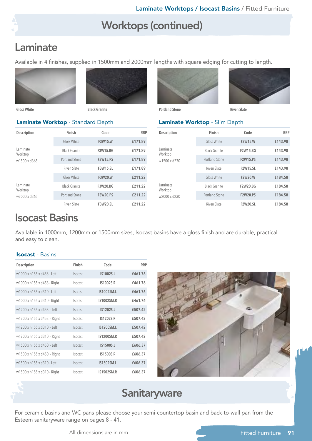### Worktops (continued)

### Laminate

Available in 4 finishes, supplied in 1500mm and 2000mm lengths with square edging for cutting to length.





**Gloss White Black Granite Portland Stone Riven Slate**

#### Laminate Worktop - Standard Depth

| Description                         | Finish                | Code            | <b>RRP</b> |
|-------------------------------------|-----------------------|-----------------|------------|
|                                     | Gloss White           | <b>F3W15.W</b>  | £171.89    |
| Laminate<br>Worktop<br>w1500 x d365 | <b>Black Granite</b>  | F3W15.BG        | £171.89    |
|                                     | <b>Portland Stone</b> | <b>F3W15.PS</b> | £171.89    |
|                                     | Riven Slate           | <b>F3W15.SL</b> | £171.89    |
| Laminate<br>Worktop<br>w2000 x d365 | Gloss White           | <b>F3W20.W</b>  | £211.22    |
|                                     | <b>Black Granite</b>  | F3W20.BG        | £211.22    |
|                                     | Portland Stone        | <b>F3W20.PS</b> | £211.22    |
|                                     | Riven Slate           | <b>F3W20.SL</b> | £211.22    |

| ۰ |                   | ٠<br>٠      |
|---|-------------------|-------------|
| ÷ | ٠<br>L.<br>٠<br>٠ | ٠<br>r<br>J |
|   |                   |             |
|   |                   |             |
|   |                   |             |



#### Laminate Worktop - Slim Depth

| Description                         | Finish                | Code            | <b>RRP</b> |
|-------------------------------------|-----------------------|-----------------|------------|
| Laminate<br>Worktop<br>w1500 x d230 | Gloss White           | <b>F2W15.W</b>  | £143.98    |
|                                     | <b>Black Granite</b>  | <b>F2W15.BG</b> | £143.98    |
|                                     | <b>Portland Stone</b> | <b>F2W15.PS</b> | £143.98    |
|                                     | Riven Slate           | <b>F2W15.SL</b> | £143.98    |
| Laminate<br>Worktop<br>w2000 x d230 | Gloss White           | <b>F2W20.W</b>  | £184.58    |
|                                     | <b>Black Granite</b>  | <b>F2W20.BG</b> | £184.58    |
|                                     | <b>Portland Stone</b> | <b>F2W20.PS</b> | £184.58    |
|                                     | Riven Slate           | <b>F2W20.SL</b> | £184.58    |

### Isocast Basins

Available in 1000mm, 1200mm or 1500mm sizes, Isocast basins have a gloss finish and are durable, practical and easy to clean.

#### Isocast - Basins

| Description                 | Finish         | Code              | <b>RRP</b> |
|-----------------------------|----------------|-------------------|------------|
| w1000 x h155 x d453 - Left  | Isocast        | IS1002S.L         | £461.76    |
| w1000 x h155 x d453 - Right | <b>Isocast</b> | IS1002S.R         | £461.76    |
| w1000 x h155 x d310 - Left  | Isocast        | IS1002SM.L        | £461.76    |
| w1000 x h155 x d310 - Right | Isocast        | <b>IS1002SM.R</b> | £461.76    |
| w1200 x h155 x d453 - Left  | Isocast        | IS1202S.L         | £507.42    |
| w1200 x h155 x d453 - Right | <b>Isocast</b> | IS1202S.R         | £507.42    |
| w1200 x h155 x d310 - Left  | <b>Isocast</b> | IS1200SM.L        | £507.42    |
| w1200 x h155 x d310 - Right | <b>Isocast</b> | <b>IS1200SM.R</b> | £507.42    |
| w1500 x h155 x d450 - Left  | Isocast        | IS1500S.L         | £606.37    |
| w1500 x h155 x d450 - Right | <b>Isocast</b> | IS1500S.R         | £606.37    |
| w1500 x h155 x d310 - Left  | Isocast        | IS1502SM.L        | £606.37    |
| w1500 x h155 x d310 - Right | Isocast        | <b>IS1502SM.R</b> | £606.37    |





### **Sanitaryware**

For ceramic basins and WC pans please choose your semi-countertop basin and back-to-wall pan from the Esteem sanitaryware range on pages 8 - 41.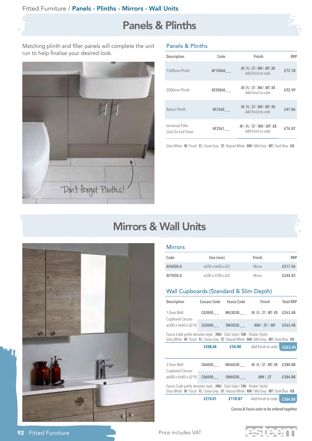### Panels & Plinths



Matching plinth and filler panels will complete the unit run to help finalise your desired look.



| <b>Panels &amp; Plinths</b> |  |  |
|-----------------------------|--|--|
|                             |  |  |

| Description                             | Code     | Finish                                                | <b>RRP</b> |
|-----------------------------------------|----------|-------------------------------------------------------|------------|
| 1500mm Plinth                           | AF15060. | .W/ .FL/ .ST/ .NW / .MT/ .KB<br>Add finish to code    | £72.18     |
| 2000mm Plinth                           | AF20060. | .W/ .FL/ .ST/ .NW / .MT/ .KB<br>Add finish to code    | £92.99     |
| Return Plinth                           | AF3360.  | .W/ .FL/ .ST/ .NW / .MT/ .KB<br>Add finish to code    | £47.06     |
| Universal Filler -<br>Clad On End Panel | AF3561.  | .W / .FL / .ST / .NW / .MT/ .KB<br>Add finish to code | £76.87     |

Gloss White - **W** / Fossil - **FL** / Stone Grey - **ST** / Natural White - **NW** / Mid Grey **- MT** / Dark Blue - **KB**

### Mirrors & Wall Units



#### **Mirrors**

| Code     | Size (mm)         | Finish | <b>RRP</b> |
|----------|-------------------|--------|------------|
| AF6050.G | w500 x h600 x d32 | Mirror | £217.56    |
| AF7050.G | w500 x h700 x d32 | Mirror | £244.83    |

#### Wall Cupboards (Standard & Slim Depth)

| Fascia Code prefix denotes style - (MU - Slab Style / SW - Shaker Style)<br>Gloss White - W / Fossil - FL / Stone Grey - ST / Natural White - NW / Mid Grey - MT / Dark Blue - KB |              |                    |                                   |                  |
|-----------------------------------------------------------------------------------------------------------------------------------------------------------------------------------|--------------|--------------------|-----------------------------------|------------------|
| Cupboard Carcass -<br>w600 x h640 x d218                                                                                                                                          |              | $CA6040.$ SW6030.  | $. NW / .$ ST                     | £384.88          |
| 2 Door Wall                                                                                                                                                                       |              |                    | CA6040. MU6030. W/.FL/.ST/.MT/.KB | £384.88          |
|                                                                                                                                                                                   | £208.68      |                    | <b>£54.80</b> Add finish to code  | £263.48          |
| Fascia Code prefix denotes style - (MU - Slab Style / SW - Shaker Style)<br>Gloss White - W / Fossil - FL / Stone Grey - ST / Natural White - NW / Mid Grey - MT / Dark Blue - KB |              |                    |                                   |                  |
| w300 x h640 x d218                                                                                                                                                                |              |                    |                                   | £263.48          |
| 1 Door Wall<br>Cupboard Carcass -                                                                                                                                                 |              |                    | CA3040. MU3030. W/.FL/.ST/.MT/.KB | £263.48          |
|                                                                                                                                                                                   | Carcass Code | <b>Fascia Code</b> | Finish                            | <b>Total RRP</b> |
| Description                                                                                                                                                                       |              |                    |                                   |                  |

**Carcass & Fascia units to be ordered together**